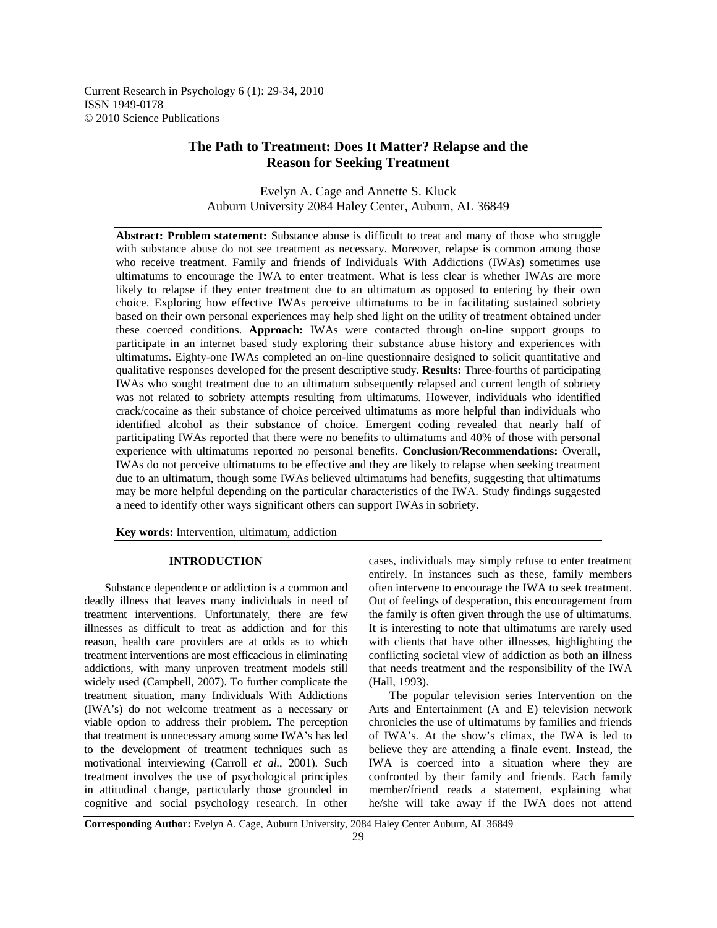Current Research in Psychology 6 (1): 29-34, 2010 ISSN 1949-0178 © 2010 Science Publications

# **The Path to Treatment: Does It Matter? Relapse and the Reason for Seeking Treatment**

Evelyn A. Cage and Annette S. Kluck Auburn University 2084 Haley Center, Auburn, AL 36849

**Abstract: Problem statement:** Substance abuse is difficult to treat and many of those who struggle with substance abuse do not see treatment as necessary. Moreover, relapse is common among those who receive treatment. Family and friends of Individuals With Addictions (IWAs) sometimes use ultimatums to encourage the IWA to enter treatment. What is less clear is whether IWAs are more likely to relapse if they enter treatment due to an ultimatum as opposed to entering by their own choice. Exploring how effective IWAs perceive ultimatums to be in facilitating sustained sobriety based on their own personal experiences may help shed light on the utility of treatment obtained under these coerced conditions. **Approach:** IWAs were contacted through on-line support groups to participate in an internet based study exploring their substance abuse history and experiences with ultimatums. Eighty-one IWAs completed an on-line questionnaire designed to solicit quantitative and qualitative responses developed for the present descriptive study. **Results:** Three-fourths of participating IWAs who sought treatment due to an ultimatum subsequently relapsed and current length of sobriety was not related to sobriety attempts resulting from ultimatums. However, individuals who identified crack/cocaine as their substance of choice perceived ultimatums as more helpful than individuals who identified alcohol as their substance of choice. Emergent coding revealed that nearly half of participating IWAs reported that there were no benefits to ultimatums and 40% of those with personal experience with ultimatums reported no personal benefits. **Conclusion/Recommendations:** Overall, IWAs do not perceive ultimatums to be effective and they are likely to relapse when seeking treatment due to an ultimatum, though some IWAs believed ultimatums had benefits, suggesting that ultimatums may be more helpful depending on the particular characteristics of the IWA. Study findings suggested a need to identify other ways significant others can support IWAs in sobriety.

**Key words:** Intervention, ultimatum, addiction

## **INTRODUCTION**

 Substance dependence or addiction is a common and deadly illness that leaves many individuals in need of treatment interventions. Unfortunately, there are few illnesses as difficult to treat as addiction and for this reason, health care providers are at odds as to which treatment interventions are most efficacious in eliminating addictions, with many unproven treatment models still widely used (Campbell, 2007). To further complicate the treatment situation, many Individuals With Addictions (IWA's) do not welcome treatment as a necessary or viable option to address their problem. The perception that treatment is unnecessary among some IWA's has led to the development of treatment techniques such as motivational interviewing (Carroll *et al*., 2001). Such treatment involves the use of psychological principles in attitudinal change, particularly those grounded in cognitive and social psychology research. In other

cases, individuals may simply refuse to enter treatment entirely. In instances such as these, family members often intervene to encourage the IWA to seek treatment. Out of feelings of desperation, this encouragement from the family is often given through the use of ultimatums. It is interesting to note that ultimatums are rarely used with clients that have other illnesses, highlighting the conflicting societal view of addiction as both an illness that needs treatment and the responsibility of the IWA (Hall, 1993).

 The popular television series Intervention on the Arts and Entertainment (A and E) television network chronicles the use of ultimatums by families and friends of IWA's. At the show's climax, the IWA is led to believe they are attending a finale event. Instead, the IWA is coerced into a situation where they are confronted by their family and friends. Each family member/friend reads a statement, explaining what he/she will take away if the IWA does not attend

**Corresponding Author:** Evelyn A. Cage, Auburn University, 2084 Haley Center Auburn, AL 36849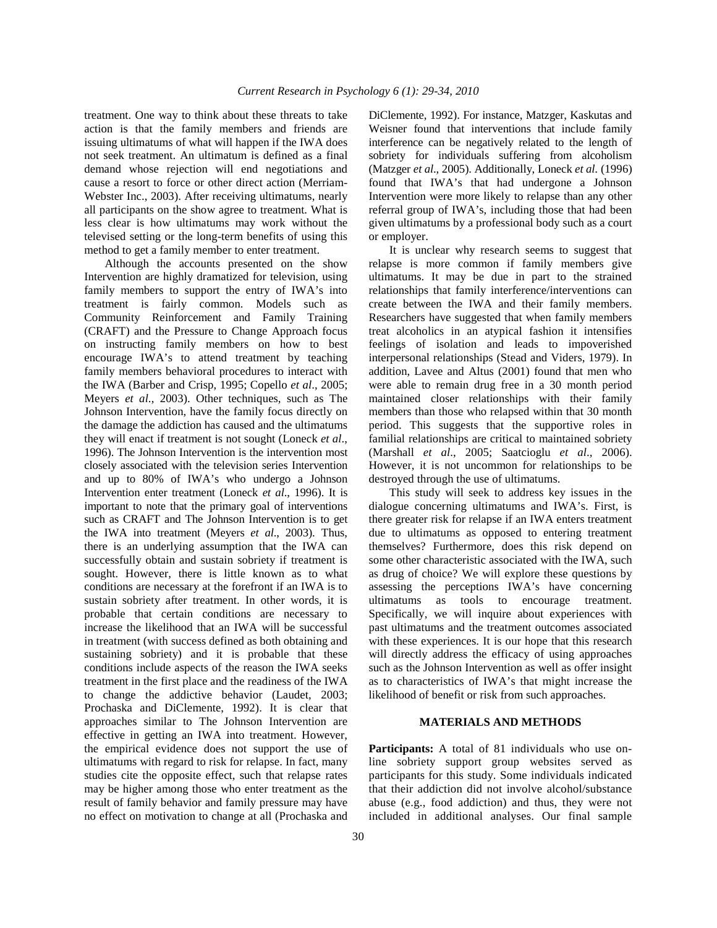treatment. One way to think about these threats to take action is that the family members and friends are issuing ultimatums of what will happen if the IWA does not seek treatment. An ultimatum is defined as a final demand whose rejection will end negotiations and cause a resort to force or other direct action (Merriam-Webster Inc., 2003). After receiving ultimatums, nearly all participants on the show agree to treatment. What is less clear is how ultimatums may work without the televised setting or the long-term benefits of using this method to get a family member to enter treatment.

 Although the accounts presented on the show Intervention are highly dramatized for television, using family members to support the entry of IWA's into treatment is fairly common. Models such as Community Reinforcement and Family Training (CRAFT) and the Pressure to Change Approach focus on instructing family members on how to best encourage IWA's to attend treatment by teaching family members behavioral procedures to interact with the IWA (Barber and Crisp, 1995; Copello *et al*., 2005; Meyers *et al*., 2003). Other techniques, such as The Johnson Intervention, have the family focus directly on the damage the addiction has caused and the ultimatums they will enact if treatment is not sought (Loneck *et al*., 1996). The Johnson Intervention is the intervention most closely associated with the television series Intervention and up to 80% of IWA's who undergo a Johnson Intervention enter treatment (Loneck *et al*., 1996). It is important to note that the primary goal of interventions such as CRAFT and The Johnson Intervention is to get the IWA into treatment (Meyers *et al*., 2003). Thus, there is an underlying assumption that the IWA can successfully obtain and sustain sobriety if treatment is sought. However, there is little known as to what conditions are necessary at the forefront if an IWA is to sustain sobriety after treatment. In other words, it is probable that certain conditions are necessary to increase the likelihood that an IWA will be successful in treatment (with success defined as both obtaining and sustaining sobriety) and it is probable that these conditions include aspects of the reason the IWA seeks treatment in the first place and the readiness of the IWA to change the addictive behavior (Laudet, 2003; Prochaska and DiClemente, 1992). It is clear that approaches similar to The Johnson Intervention are effective in getting an IWA into treatment. However, the empirical evidence does not support the use of ultimatums with regard to risk for relapse. In fact, many studies cite the opposite effect, such that relapse rates may be higher among those who enter treatment as the result of family behavior and family pressure may have no effect on motivation to change at all (Prochaska and

DiClemente, 1992). For instance, Matzger, Kaskutas and Weisner found that interventions that include family interference can be negatively related to the length of sobriety for individuals suffering from alcoholism (Matzger *et al*., 2005). Additionally, Loneck *et al*. (1996) found that IWA's that had undergone a Johnson Intervention were more likely to relapse than any other referral group of IWA's, including those that had been given ultimatums by a professional body such as a court or employer.

 It is unclear why research seems to suggest that relapse is more common if family members give ultimatums. It may be due in part to the strained relationships that family interference/interventions can create between the IWA and their family members. Researchers have suggested that when family members treat alcoholics in an atypical fashion it intensifies feelings of isolation and leads to impoverished interpersonal relationships (Stead and Viders, 1979). In addition, Lavee and Altus (2001) found that men who were able to remain drug free in a 30 month period maintained closer relationships with their family members than those who relapsed within that 30 month period. This suggests that the supportive roles in familial relationships are critical to maintained sobriety (Marshall *et al*., 2005; Saatcioglu *et al*., 2006). However, it is not uncommon for relationships to be destroyed through the use of ultimatums.

 This study will seek to address key issues in the dialogue concerning ultimatums and IWA's. First, is there greater risk for relapse if an IWA enters treatment due to ultimatums as opposed to entering treatment themselves? Furthermore, does this risk depend on some other characteristic associated with the IWA, such as drug of choice? We will explore these questions by assessing the perceptions IWA's have concerning ultimatums as tools to encourage treatment. Specifically, we will inquire about experiences with past ultimatums and the treatment outcomes associated with these experiences. It is our hope that this research will directly address the efficacy of using approaches such as the Johnson Intervention as well as offer insight as to characteristics of IWA's that might increase the likelihood of benefit or risk from such approaches.

### **MATERIALS AND METHODS**

**Participants:** A total of 81 individuals who use online sobriety support group websites served as participants for this study. Some individuals indicated that their addiction did not involve alcohol/substance abuse (e.g., food addiction) and thus, they were not included in additional analyses. Our final sample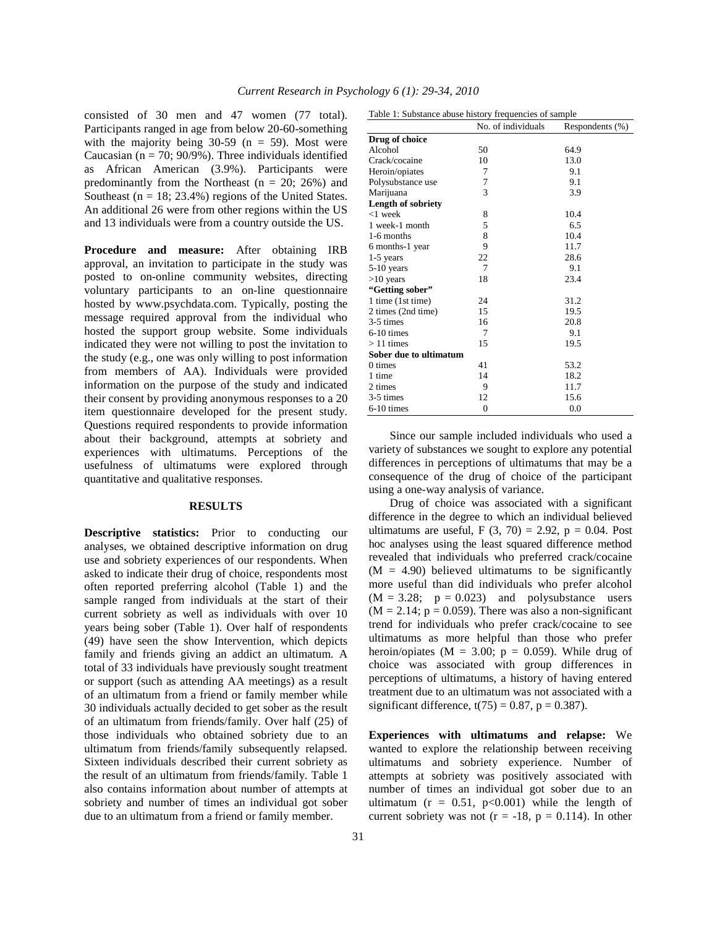consisted of 30 men and 47 women (77 total). Participants ranged in age from below 20-60-something with the majority being  $30-59$  (n = 59). Most were Caucasian ( $n = 70$ ; 90/9%). Three individuals identified as African American (3.9%). Participants were predominantly from the Northeast ( $n = 20$ ; 26%) and Southeast ( $n = 18$ ; 23.4%) regions of the United States. An additional 26 were from other regions within the US and 13 individuals were from a country outside the US.

**Procedure and measure:** After obtaining IRB approval, an invitation to participate in the study was posted to on-online community websites, directing voluntary participants to an on-line questionnaire hosted by www.psychdata.com. Typically, posting the message required approval from the individual who hosted the support group website. Some individuals indicated they were not willing to post the invitation to the study (e.g., one was only willing to post information from members of AA). Individuals were provided information on the purpose of the study and indicated their consent by providing anonymous responses to a 20 item questionnaire developed for the present study. Questions required respondents to provide information about their background, attempts at sobriety and experiences with ultimatums. Perceptions of the usefulness of ultimatums were explored through quantitative and qualitative responses.

### **RESULTS**

**Descriptive statistics:** Prior to conducting our analyses, we obtained descriptive information on drug use and sobriety experiences of our respondents. When asked to indicate their drug of choice, respondents most often reported preferring alcohol (Table 1) and the sample ranged from individuals at the start of their current sobriety as well as individuals with over 10 years being sober (Table 1). Over half of respondents (49) have seen the show Intervention, which depicts family and friends giving an addict an ultimatum. A total of 33 individuals have previously sought treatment or support (such as attending AA meetings) as a result of an ultimatum from a friend or family member while 30 individuals actually decided to get sober as the result of an ultimatum from friends/family. Over half (25) of those individuals who obtained sobriety due to an ultimatum from friends/family subsequently relapsed. Sixteen individuals described their current sobriety as the result of an ultimatum from friends/family. Table 1 also contains information about number of attempts at sobriety and number of times an individual got sober due to an ultimatum from a friend or family member.

| Table 1: Substance abuse history frequencies of sample |                    |                 |  |
|--------------------------------------------------------|--------------------|-----------------|--|
|                                                        | No. of individuals | Respondents (%) |  |
| Drug of choice                                         |                    |                 |  |
| Alcohol                                                | 50                 | 64.9            |  |
| Crack/cocaine                                          | 10                 | 13.0            |  |
| Heroin/opiates                                         | 7                  | 9.1             |  |
| Polysubstance use                                      | 7                  | 9.1             |  |
| Marijuana                                              | 3                  | 3.9             |  |
| <b>Length of sobriety</b>                              |                    |                 |  |
| $<$ 1 week                                             | 8                  | 10.4            |  |
| 1 week-1 month                                         | 5                  | 6.5             |  |
| 1-6 months                                             | 8                  | 10.4            |  |
| 6 months-1 year                                        | 9                  | 11.7            |  |
| $1-5$ years                                            | 22                 | 28.6            |  |
| $5-10$ years                                           | 7                  | 9.1             |  |
| $>10$ years                                            | 18                 | 23.4            |  |
| "Getting sober"                                        |                    |                 |  |
| 1 time (1st time)                                      | 24                 | 31.2            |  |
| 2 times (2nd time)                                     | 15                 | 19.5            |  |
| 3-5 times                                              | 16                 | 20.8            |  |
| $6-10$ times                                           | 7                  | 9.1             |  |
| $>11$ times                                            | 15                 | 19.5            |  |
| Sober due to ultimatum                                 |                    |                 |  |
| 0 times                                                | 41                 | 53.2            |  |
| 1 time                                                 | 14                 | 18.2            |  |
| 2 times                                                | 9                  | 11.7            |  |
| 3-5 times                                              | 12                 | 15.6            |  |
| $6-10$ times                                           | $\overline{0}$     | 0.0             |  |

 Since our sample included individuals who used a variety of substances we sought to explore any potential differences in perceptions of ultimatums that may be a consequence of the drug of choice of the participant using a one-way analysis of variance.

 Drug of choice was associated with a significant difference in the degree to which an individual believed ultimatums are useful, F  $(3, 70) = 2.92$ , p = 0.04. Post hoc analyses using the least squared difference method revealed that individuals who preferred crack/cocaine  $(M = 4.90)$  believed ultimatums to be significantly more useful than did individuals who prefer alcohol  $(M = 3.28; p = 0.023)$  and polysubstance users  $(M = 2.14; p = 0.059)$ . There was also a non-significant trend for individuals who prefer crack/cocaine to see ultimatums as more helpful than those who prefer heroin/opiates ( $M = 3.00$ ;  $p = 0.059$ ). While drug of choice was associated with group differences in perceptions of ultimatums, a history of having entered treatment due to an ultimatum was not associated with a significant difference,  $t(75) = 0.87$ ,  $p = 0.387$ ).

**Experiences with ultimatums and relapse:** We wanted to explore the relationship between receiving ultimatums and sobriety experience. Number of attempts at sobriety was positively associated with number of times an individual got sober due to an ultimatum ( $r = 0.51$ ,  $p < 0.001$ ) while the length of current sobriety was not  $(r = -18, p = 0.114)$ . In other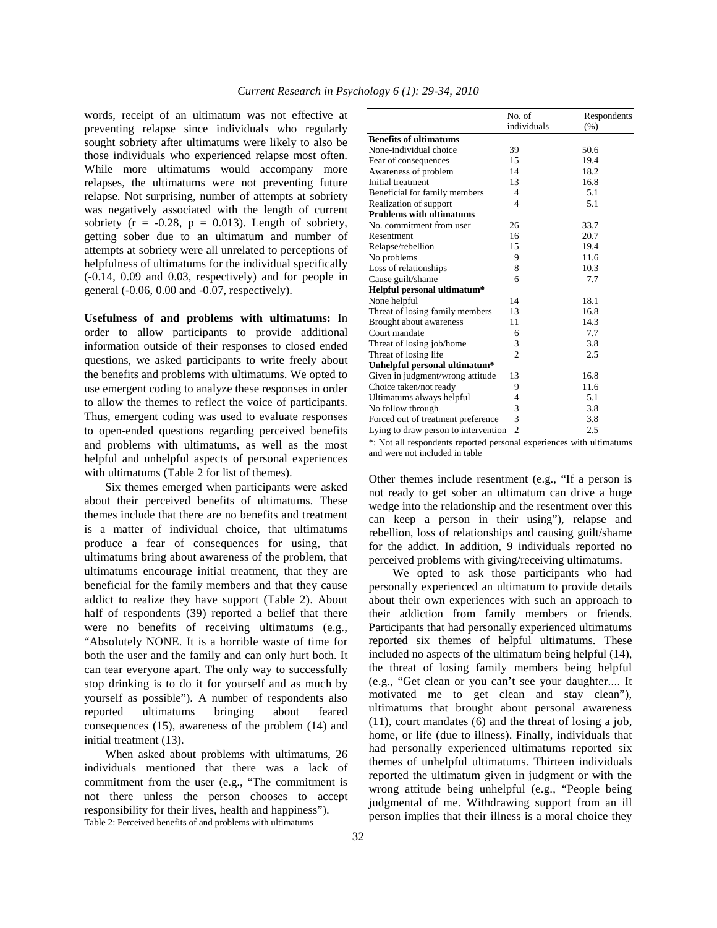words, receipt of an ultimatum was not effective at preventing relapse since individuals who regularly sought sobriety after ultimatums were likely to also be those individuals who experienced relapse most often. While more ultimatums would accompany more relapses, the ultimatums were not preventing future relapse. Not surprising, number of attempts at sobriety was negatively associated with the length of current sobriety ( $r = -0.28$ ,  $p = 0.013$ ). Length of sobriety, getting sober due to an ultimatum and number of attempts at sobriety were all unrelated to perceptions of helpfulness of ultimatums for the individual specifically (-0.14, 0.09 and 0.03, respectively) and for people in general (-0.06, 0.00 and -0.07, respectively).

**Usefulness of and problems with ultimatums:** In order to allow participants to provide additional information outside of their responses to closed ended questions, we asked participants to write freely about the benefits and problems with ultimatums. We opted to use emergent coding to analyze these responses in order to allow the themes to reflect the voice of participants. Thus, emergent coding was used to evaluate responses to open-ended questions regarding perceived benefits and problems with ultimatums, as well as the most helpful and unhelpful aspects of personal experiences with ultimatums (Table 2 for list of themes).

 Six themes emerged when participants were asked about their perceived benefits of ultimatums. These themes include that there are no benefits and treatment is a matter of individual choice, that ultimatums produce a fear of consequences for using, that ultimatums bring about awareness of the problem, that ultimatums encourage initial treatment, that they are beneficial for the family members and that they cause addict to realize they have support (Table 2). About half of respondents (39) reported a belief that there were no benefits of receiving ultimatums (e.g., "Absolutely NONE. It is a horrible waste of time for both the user and the family and can only hurt both. It can tear everyone apart. The only way to successfully stop drinking is to do it for yourself and as much by yourself as possible"). A number of respondents also reported ultimatums bringing about feared consequences (15), awareness of the problem (14) and initial treatment (13).

 When asked about problems with ultimatums, 26 individuals mentioned that there was a lack of commitment from the user (e.g., "The commitment is not there unless the person chooses to accept responsibility for their lives, health and happiness"). Table 2: Perceived benefits of and problems with ultimatums

|                                      | No. of                      | Respondents |
|--------------------------------------|-----------------------------|-------------|
|                                      | individuals                 | (% )        |
| <b>Benefits of ultimatums</b>        |                             |             |
| None-individual choice               | 39                          | 50.6        |
| Fear of consequences                 | 15                          | 19.4        |
| Awareness of problem                 | 14                          | 18.2        |
| Initial treatment                    | 13                          | 16.8        |
| Beneficial for family members        | 4                           | 5.1         |
| Realization of support               | $\overline{4}$              | 5.1         |
| <b>Problems with ultimatums</b>      |                             |             |
| No. commitment from user             | 26                          | 33.7        |
| Resentment                           | 16                          | 20.7        |
| Relapse/rebellion                    | 15                          | 19.4        |
| No problems                          | 9                           | 11.6        |
| Loss of relationships                | 8                           | 10.3        |
| Cause guilt/shame                    | 6                           | 7.7         |
| Helpful personal ultimatum*          |                             |             |
| None helpful                         | 14                          | 18.1        |
| Threat of losing family members      | 13                          | 16.8        |
| Brought about awareness              | 11                          | 14.3        |
| Court mandate                        | 6                           | 7.7         |
| Threat of losing job/home            | 3                           | 3.8         |
| Threat of losing life                | $\mathcal{D}_{\mathcal{A}}$ | 2.5         |
| Unhelpful personal ultimatum*        |                             |             |
| Given in judgment/wrong attitude     | 13                          | 16.8        |
| Choice taken/not ready               | 9                           | 11.6        |
| Ultimatums always helpful            | 4                           | 5.1         |
| No follow through                    | 3                           | 3.8         |
| Forced out of treatment preference   | $\overline{3}$              | 3.8         |
| Lying to draw person to intervention | $\overline{2}$              | 2.5         |

\*: Not all respondents reported personal experiences with ultimatums and were not included in table

Other themes include resentment (e.g., "If a person is not ready to get sober an ultimatum can drive a huge wedge into the relationship and the resentment over this can keep a person in their using"), relapse and rebellion, loss of relationships and causing guilt/shame for the addict. In addition, 9 individuals reported no perceived problems with giving/receiving ultimatums.

 We opted to ask those participants who had personally experienced an ultimatum to provide details about their own experiences with such an approach to their addiction from family members or friends. Participants that had personally experienced ultimatums reported six themes of helpful ultimatums. These included no aspects of the ultimatum being helpful (14), the threat of losing family members being helpful (e.g., "Get clean or you can't see your daughter.... It motivated me to get clean and stay clean"), ultimatums that brought about personal awareness (11), court mandates (6) and the threat of losing a job, home, or life (due to illness). Finally, individuals that had personally experienced ultimatums reported six themes of unhelpful ultimatums. Thirteen individuals reported the ultimatum given in judgment or with the wrong attitude being unhelpful (e.g., "People being judgmental of me. Withdrawing support from an ill person implies that their illness is a moral choice they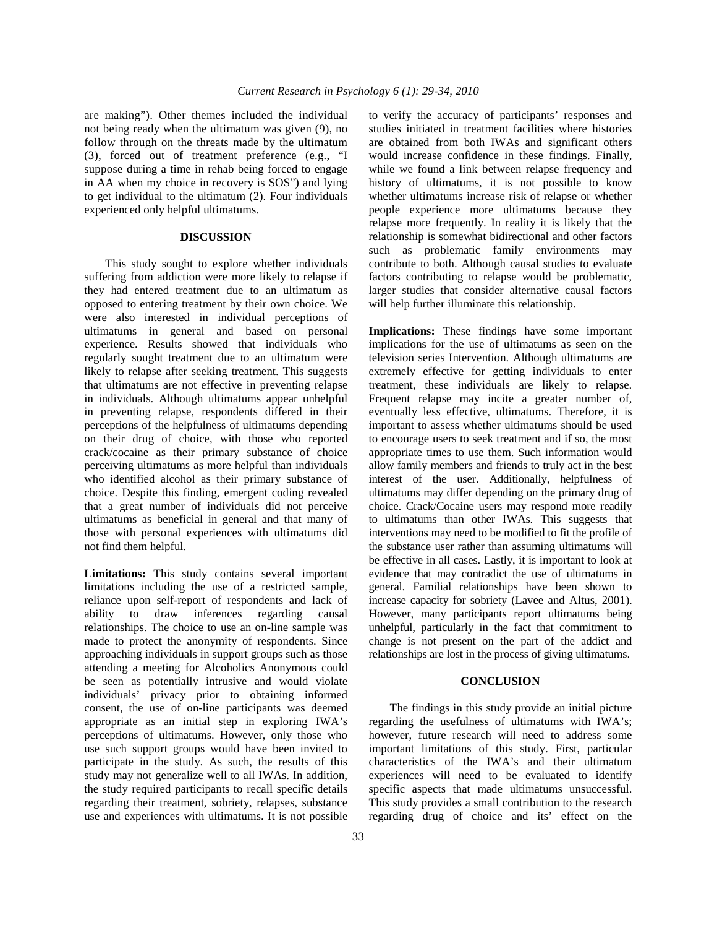are making"). Other themes included the individual not being ready when the ultimatum was given (9), no follow through on the threats made by the ultimatum (3), forced out of treatment preference (e.g., "I suppose during a time in rehab being forced to engage in AA when my choice in recovery is SOS") and lying to get individual to the ultimatum (2). Four individuals experienced only helpful ultimatums.

#### **DISCUSSION**

 This study sought to explore whether individuals suffering from addiction were more likely to relapse if they had entered treatment due to an ultimatum as opposed to entering treatment by their own choice. We were also interested in individual perceptions of ultimatums in general and based on personal experience. Results showed that individuals who regularly sought treatment due to an ultimatum were likely to relapse after seeking treatment. This suggests that ultimatums are not effective in preventing relapse in individuals. Although ultimatums appear unhelpful in preventing relapse, respondents differed in their perceptions of the helpfulness of ultimatums depending on their drug of choice, with those who reported crack/cocaine as their primary substance of choice perceiving ultimatums as more helpful than individuals who identified alcohol as their primary substance of choice. Despite this finding, emergent coding revealed that a great number of individuals did not perceive ultimatums as beneficial in general and that many of those with personal experiences with ultimatums did not find them helpful.

**Limitations:** This study contains several important limitations including the use of a restricted sample, reliance upon self-report of respondents and lack of ability to draw inferences regarding causal relationships. The choice to use an on-line sample was made to protect the anonymity of respondents. Since approaching individuals in support groups such as those attending a meeting for Alcoholics Anonymous could be seen as potentially intrusive and would violate individuals' privacy prior to obtaining informed consent, the use of on-line participants was deemed appropriate as an initial step in exploring IWA's perceptions of ultimatums. However, only those who use such support groups would have been invited to participate in the study. As such, the results of this study may not generalize well to all IWAs. In addition, the study required participants to recall specific details regarding their treatment, sobriety, relapses, substance use and experiences with ultimatums. It is not possible

to verify the accuracy of participants' responses and studies initiated in treatment facilities where histories are obtained from both IWAs and significant others would increase confidence in these findings. Finally, while we found a link between relapse frequency and history of ultimatums, it is not possible to know whether ultimatums increase risk of relapse or whether people experience more ultimatums because they relapse more frequently. In reality it is likely that the relationship is somewhat bidirectional and other factors such as problematic family environments may contribute to both. Although causal studies to evaluate factors contributing to relapse would be problematic, larger studies that consider alternative causal factors will help further illuminate this relationship.

**Implications:** These findings have some important implications for the use of ultimatums as seen on the television series Intervention. Although ultimatums are extremely effective for getting individuals to enter treatment, these individuals are likely to relapse. Frequent relapse may incite a greater number of, eventually less effective, ultimatums. Therefore, it is important to assess whether ultimatums should be used to encourage users to seek treatment and if so, the most appropriate times to use them. Such information would allow family members and friends to truly act in the best interest of the user. Additionally, helpfulness of ultimatums may differ depending on the primary drug of choice. Crack/Cocaine users may respond more readily to ultimatums than other IWAs. This suggests that interventions may need to be modified to fit the profile of the substance user rather than assuming ultimatums will be effective in all cases. Lastly, it is important to look at evidence that may contradict the use of ultimatums in general. Familial relationships have been shown to increase capacity for sobriety (Lavee and Altus, 2001). However, many participants report ultimatums being unhelpful, particularly in the fact that commitment to change is not present on the part of the addict and relationships are lost in the process of giving ultimatums.

#### **CONCLUSION**

 The findings in this study provide an initial picture regarding the usefulness of ultimatums with IWA's; however, future research will need to address some important limitations of this study. First, particular characteristics of the IWA's and their ultimatum experiences will need to be evaluated to identify specific aspects that made ultimatums unsuccessful. This study provides a small contribution to the research regarding drug of choice and its' effect on the